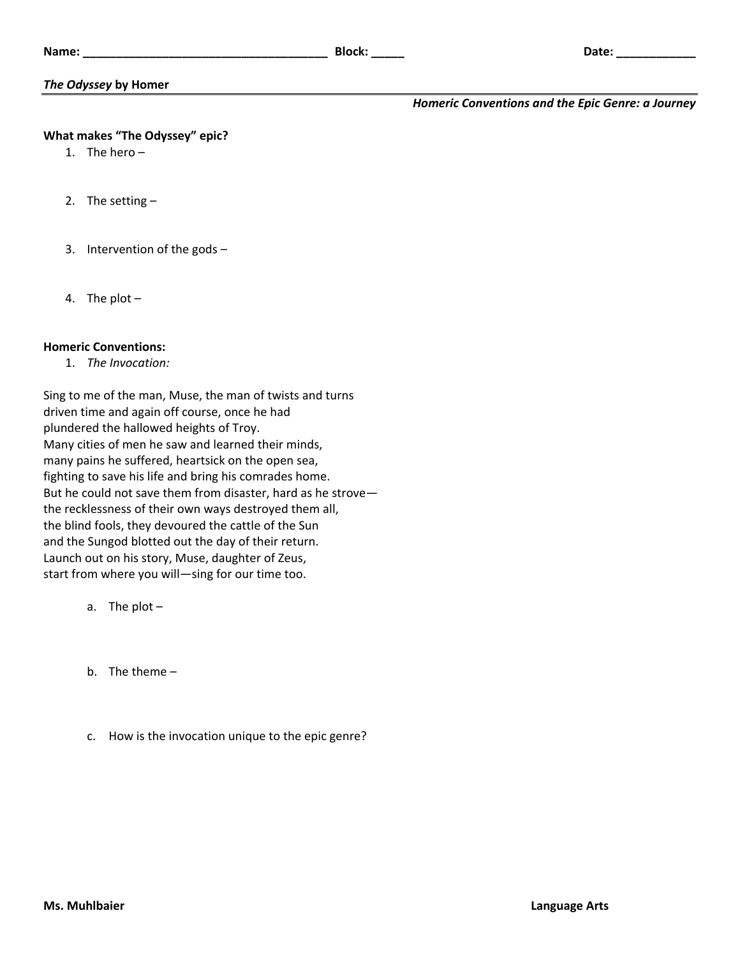# *The Odyssey* **by Homer**

## *Homeric Conventions and the Epic Genre: a Journey*

### **What makes "The Odyssey" epic?**

- 1. The hero –
- 2. The setting –
- 3. Intervention of the gods –
- 4. The plot –

### **Homeric Conventions:**

1. *The Invocation:*

Sing to me of the man, Muse, the man of twists and turns driven time and again off course, once he had plundered the hallowed heights of Troy. Many cities of men he saw and learned their minds, many pains he suffered, heartsick on the open sea, fighting to save his life and bring his comrades home. But he could not save them from disaster, hard as he strove the recklessness of their own ways destroyed them all, the blind fools, they devoured the cattle of the Sun and the Sungod blotted out the day of their return. Launch out on his story, Muse, daughter of Zeus, start from where you will—sing for our time too.

- a. The plot –
- b. The theme –
- c. How is the invocation unique to the epic genre?